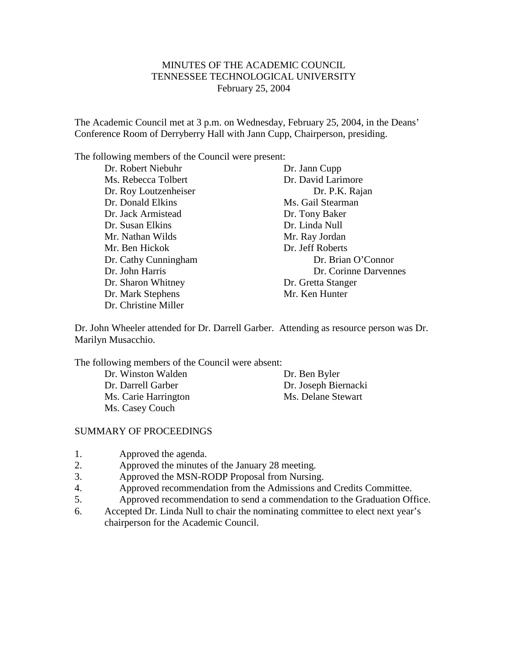# MINUTES OF THE ACADEMIC COUNCIL TENNESSEE TECHNOLOGICAL UNIVERSITY February 25, 2004

The Academic Council met at 3 p.m. on Wednesday, February 25, 2004, in the Deans' Conference Room of Derryberry Hall with Jann Cupp, Chairperson, presiding.

The following members of the Council were present:

Dr. Robert Niebuhr Dr. Jann Cupp Ms. Rebecca Tolbert Dr. David Larimore Dr. Roy Loutzenheiser Dr. P.K. Rajan Dr. Donald Elkins Ms. Gail Stearman Dr. Jack Armistead Dr. Tony Baker Dr. Susan Elkins Dr. Linda Null Mr. Nathan Wilds Mr. Ben Hickok Dr. Jeff Roberts Dr. Sharon Whitney Dr. Gretta Stanger Dr. Mark Stephens Mr. Ken Hunter Dr. Christine Miller

Dr. Cathy Cunningham Dr. Brian O'Connor Dr. John Harris Dr. Corinne Darvennes

Dr. John Wheeler attended for Dr. Darrell Garber. Attending as resource person was Dr. Marilyn Musacchio.

The following members of the Council were absent:

Dr. Winston Walden Dr. Ben Byler Dr. Darrell Garber Dr. Joseph Biernacki Ms. Carie Harrington Ms. Delane Stewart Ms. Casey Couch

## SUMMARY OF PROCEEDINGS

- 1. Approved the agenda.
- 2. Approved the minutes of the January 28 meeting.
- 3. Approved the MSN-RODP Proposal from Nursing.
- 4. Approved recommendation from the Admissions and Credits Committee.
- 5. Approved recommendation to send a commendation to the Graduation Office.
- 6. Accepted Dr. Linda Null to chair the nominating committee to elect next year's chairperson for the Academic Council.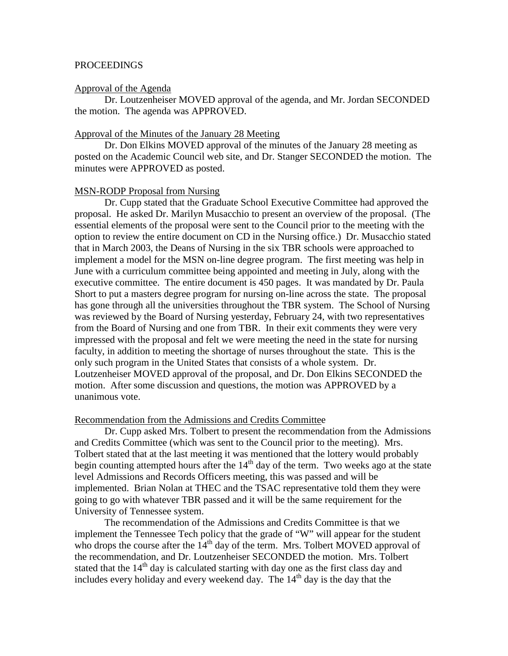## PROCEEDINGS

#### Approval of the Agenda

Dr. Loutzenheiser MOVED approval of the agenda, and Mr. Jordan SECONDED the motion. The agenda was APPROVED.

## Approval of the Minutes of the January 28 Meeting

Dr. Don Elkins MOVED approval of the minutes of the January 28 meeting as posted on the Academic Council web site, and Dr. Stanger SECONDED the motion. The minutes were APPROVED as posted.

### MSN-RODP Proposal from Nursing

Dr. Cupp stated that the Graduate School Executive Committee had approved the proposal. He asked Dr. Marilyn Musacchio to present an overview of the proposal. (The essential elements of the proposal were sent to the Council prior to the meeting with the option to review the entire document on CD in the Nursing office.) Dr. Musacchio stated that in March 2003, the Deans of Nursing in the six TBR schools were approached to implement a model for the MSN on-line degree program. The first meeting was help in June with a curriculum committee being appointed and meeting in July, along with the executive committee. The entire document is 450 pages. It was mandated by Dr. Paula Short to put a masters degree program for nursing on-line across the state. The proposal has gone through all the universities throughout the TBR system. The School of Nursing was reviewed by the Board of Nursing yesterday, February 24, with two representatives from the Board of Nursing and one from TBR. In their exit comments they were very impressed with the proposal and felt we were meeting the need in the state for nursing faculty, in addition to meeting the shortage of nurses throughout the state. This is the only such program in the United States that consists of a whole system. Dr. Loutzenheiser MOVED approval of the proposal, and Dr. Don Elkins SECONDED the motion. After some discussion and questions, the motion was APPROVED by a unanimous vote.

#### Recommendation from the Admissions and Credits Committee

Dr. Cupp asked Mrs. Tolbert to present the recommendation from the Admissions and Credits Committee (which was sent to the Council prior to the meeting). Mrs. Tolbert stated that at the last meeting it was mentioned that the lottery would probably begin counting attempted hours after the  $14<sup>th</sup>$  day of the term. Two weeks ago at the state level Admissions and Records Officers meeting, this was passed and will be implemented. Brian Nolan at THEC and the TSAC representative told them they were going to go with whatever TBR passed and it will be the same requirement for the University of Tennessee system.

The recommendation of the Admissions and Credits Committee is that we implement the Tennessee Tech policy that the grade of "W" will appear for the student who drops the course after the  $14<sup>th</sup>$  day of the term. Mrs. Tolbert MOVED approval of the recommendation, and Dr. Loutzenheiser SECONDED the motion. Mrs. Tolbert stated that the  $14<sup>th</sup>$  day is calculated starting with day one as the first class day and includes every holiday and every weekend day. The  $14<sup>th</sup>$  day is the day that the